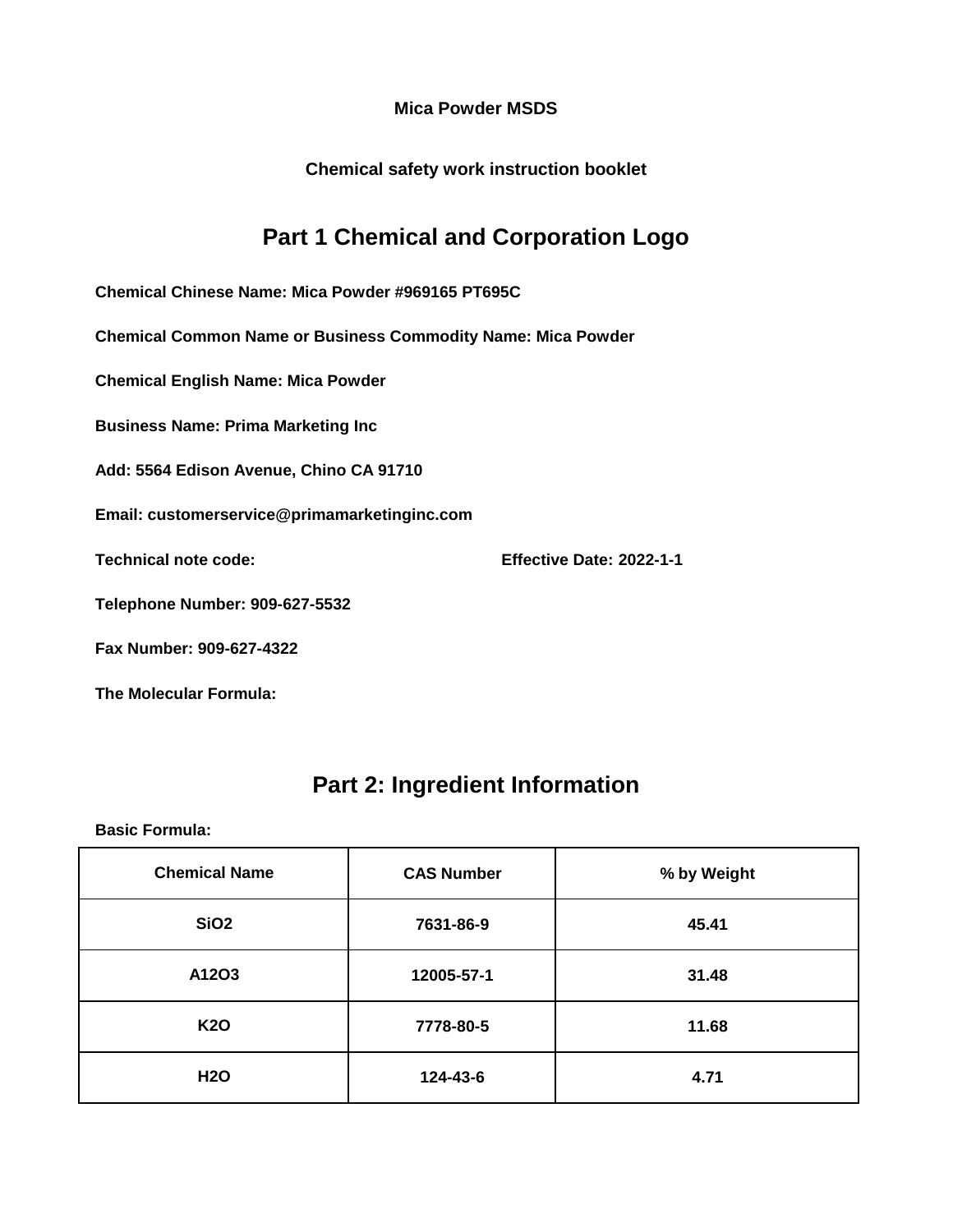**Chemical safety work instruction booklet**

### **Part 1 Chemical and Corporation Logo**

**Chemical Chinese Name: Mica Powder #969165 PT695C**

**Chemical Common Name or Business Commodity Name: Mica Powder**

**Chemical English Name: Mica Powder**

**Business Name: Prima Marketing Inc**

**Add: 5564 Edison Avenue, Chino CA 91710**

**Email: customerservice@primamarketinginc.com**

**Technical note code: Effective Date: 2022-1-1**

**Telephone Number: 909-627-5532**

**Fax Number: 909-627-4322**

**The Molecular Formula:**

#### **Part 2: Ingredient Information**

| <b>Chemical Name</b> | <b>CAS Number</b> | % by Weight |
|----------------------|-------------------|-------------|
| <b>SiO2</b>          | 7631-86-9         | 45.41       |
| A12O3                | 12005-57-1        | 31.48       |
| <b>K20</b>           | 7778-80-5         | 11.68       |
| <b>H2O</b>           | 124-43-6          | 4.71        |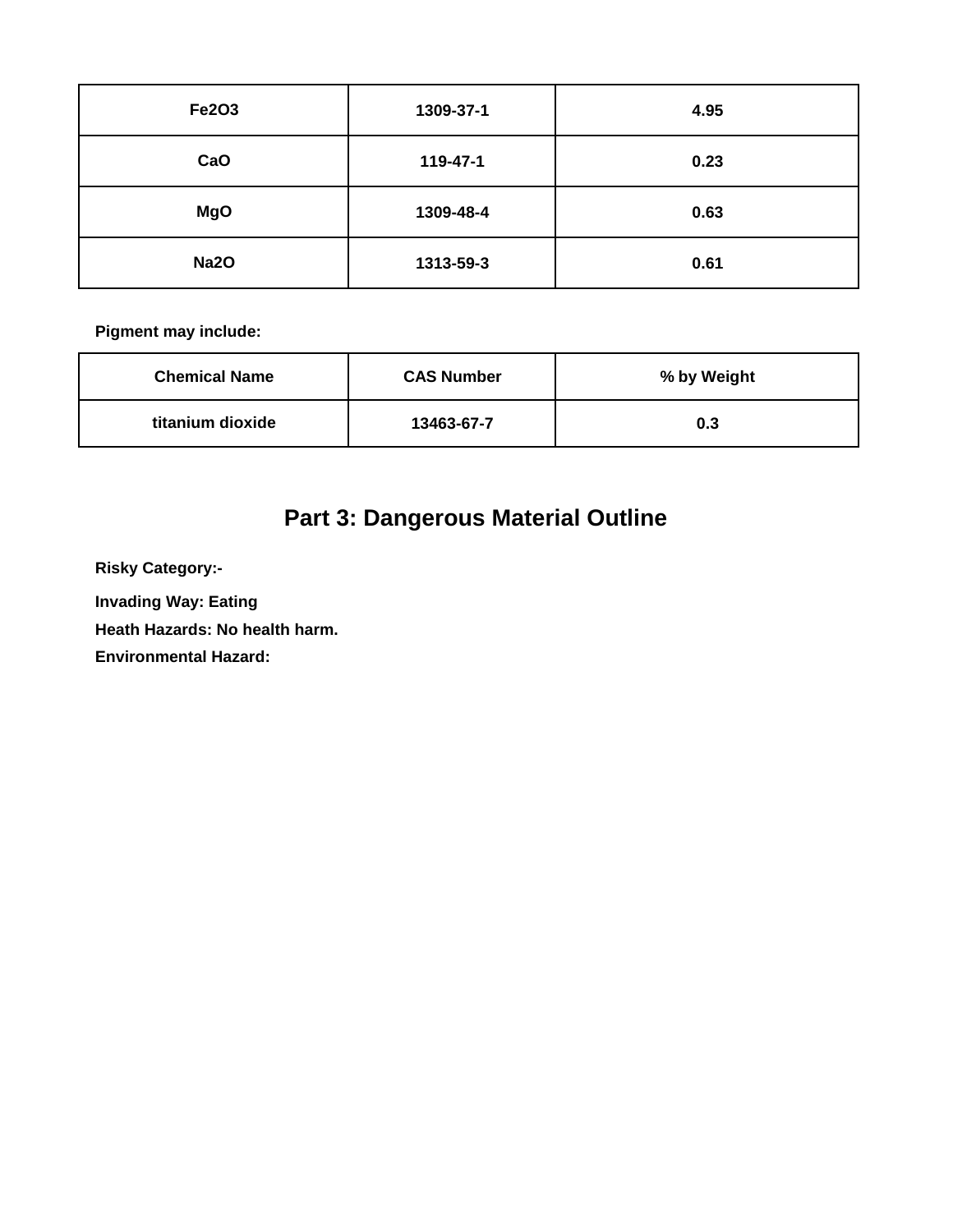| <b>Fe2O3</b> | 1309-37-1 | 4.95 |
|--------------|-----------|------|
| CaO          | 119-47-1  | 0.23 |
| <b>MgO</b>   | 1309-48-4 | 0.63 |
| <b>Na2O</b>  | 1313-59-3 | 0.61 |

| <b>Chemical Name</b> | <b>CAS Number</b> | % by Weight |
|----------------------|-------------------|-------------|
| titanium dioxide     | 13463-67-7        | 0.3         |

# **Part 3: Dangerous Material Outline**

**Risky Category:-**

**Invading Way: Eating** 

**Heath Hazards: No health harm.**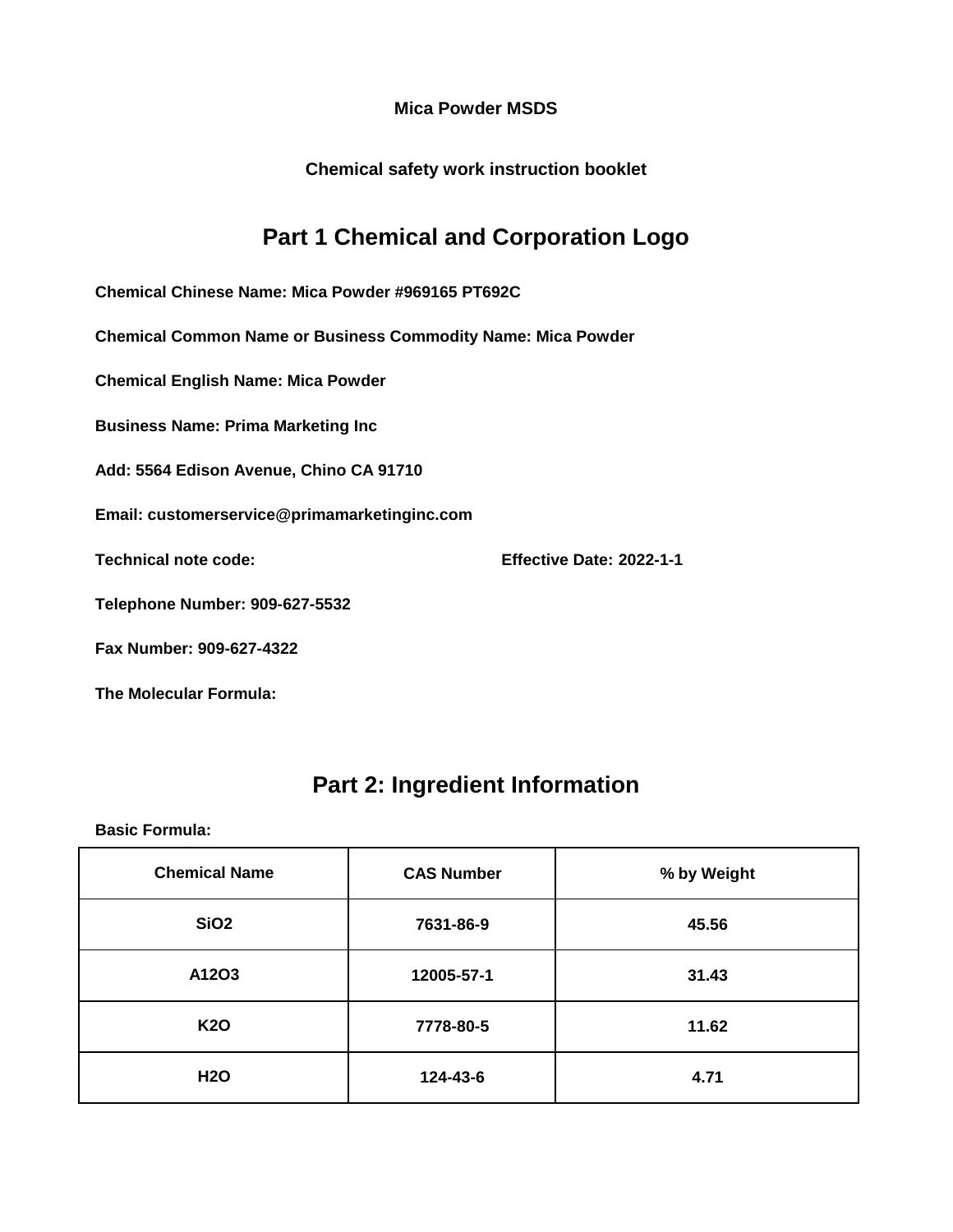**Chemical safety work instruction booklet**

### **Part 1 Chemical and Corporation Logo**

**Chemical Chinese Name: Mica Powder #969165 PT692C**

**Chemical Common Name or Business Commodity Name: Mica Powder**

**Chemical English Name: Mica Powder**

**Business Name: Prima Marketing Inc**

**Add: 5564 Edison Avenue, Chino CA 91710**

**Email: customerservice@primamarketinginc.com**

**Technical note code: Effective Date: 2022-1-1**

**Telephone Number: 909-627-5532**

**Fax Number: 909-627-4322**

**The Molecular Formula:**

#### **Part 2: Ingredient Information**

| <b>Chemical Name</b> | <b>CAS Number</b> | % by Weight |
|----------------------|-------------------|-------------|
| <b>SiO2</b>          | 7631-86-9         | 45.56       |
| A12O3                | 12005-57-1        | 31.43       |
| <b>K20</b>           | 7778-80-5         | 11.62       |
| <b>H2O</b>           | 124-43-6          | 4.71        |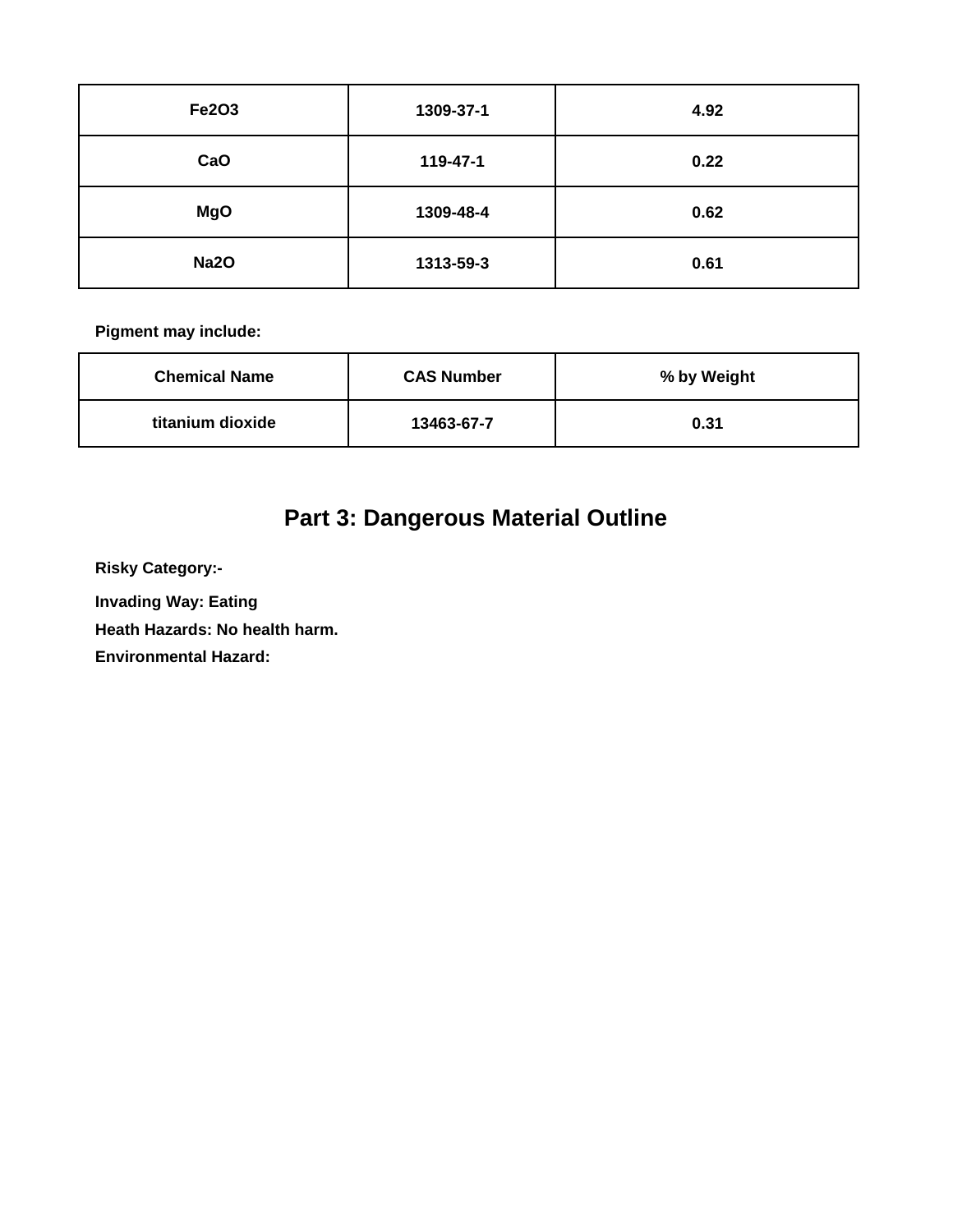| <b>Fe2O3</b> | 1309-37-1 | 4.92 |
|--------------|-----------|------|
| CaO          | 119-47-1  | 0.22 |
| <b>MgO</b>   | 1309-48-4 | 0.62 |
| <b>Na2O</b>  | 1313-59-3 | 0.61 |

| <b>Chemical Name</b> | <b>CAS Number</b> | % by Weight |
|----------------------|-------------------|-------------|
| titanium dioxide     | 13463-67-7        | 0.31        |

# **Part 3: Dangerous Material Outline**

**Risky Category:-**

**Invading Way: Eating** 

**Heath Hazards: No health harm.**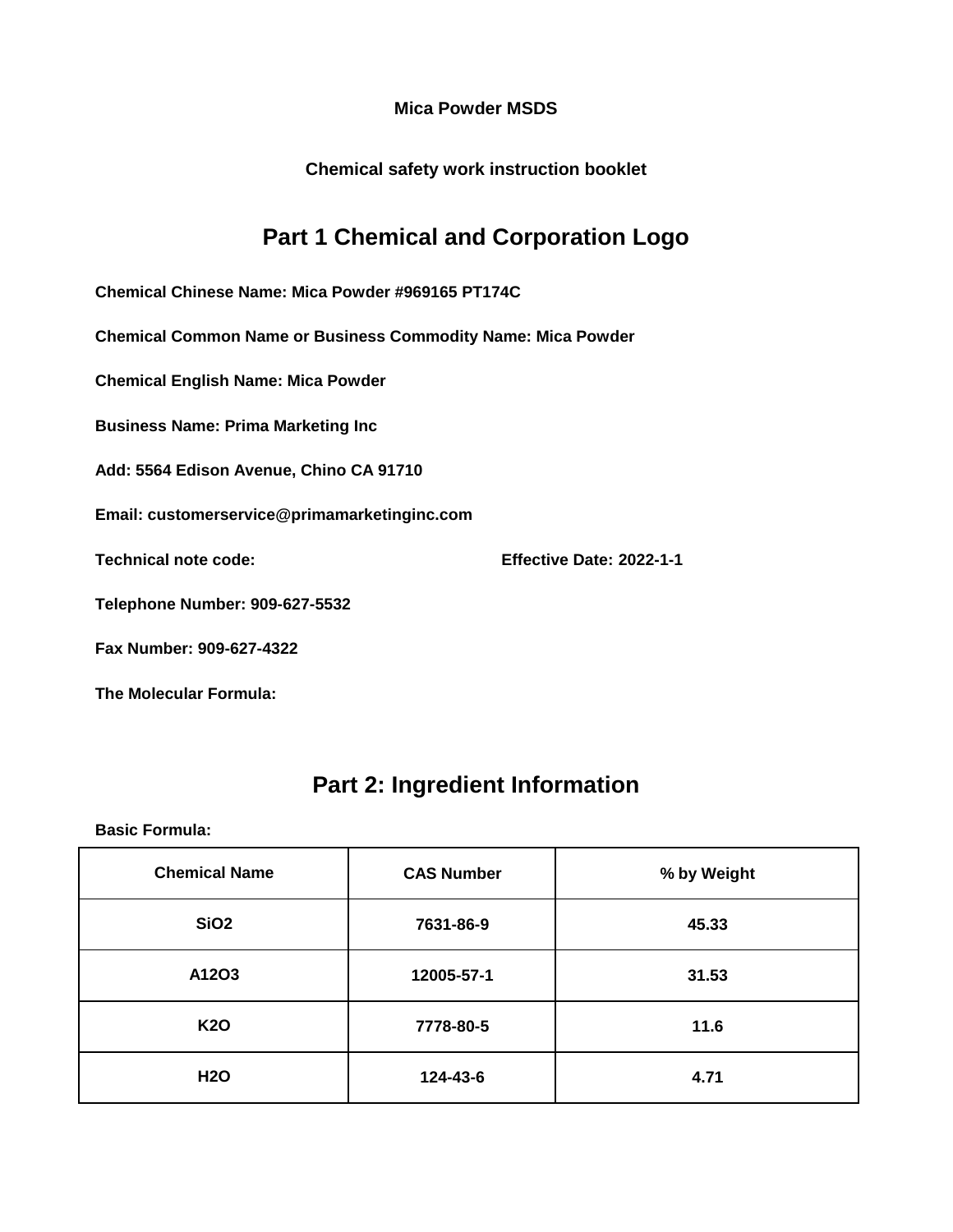**Chemical safety work instruction booklet**

## **Part 1 Chemical and Corporation Logo**

**Chemical Chinese Name: Mica Powder #969165 PT174C**

**Chemical Common Name or Business Commodity Name: Mica Powder**

**Chemical English Name: Mica Powder**

**Business Name: Prima Marketing Inc**

**Add: 5564 Edison Avenue, Chino CA 91710**

**Email: customerservice@primamarketinginc.com**

**Technical note code: Effective Date: 2022-1-1**

**Telephone Number: 909-627-5532**

**Fax Number: 909-627-4322**

**The Molecular Formula:**

### **Part 2: Ingredient Information**

| <b>Chemical Name</b> | <b>CAS Number</b> | % by Weight |
|----------------------|-------------------|-------------|
| <b>SiO2</b>          | 7631-86-9         | 45.33       |
| A12O3                | 12005-57-1        | 31.53       |
| <b>K20</b>           | 7778-80-5         | 11.6        |
| <b>H2O</b>           | 124-43-6          | 4.71        |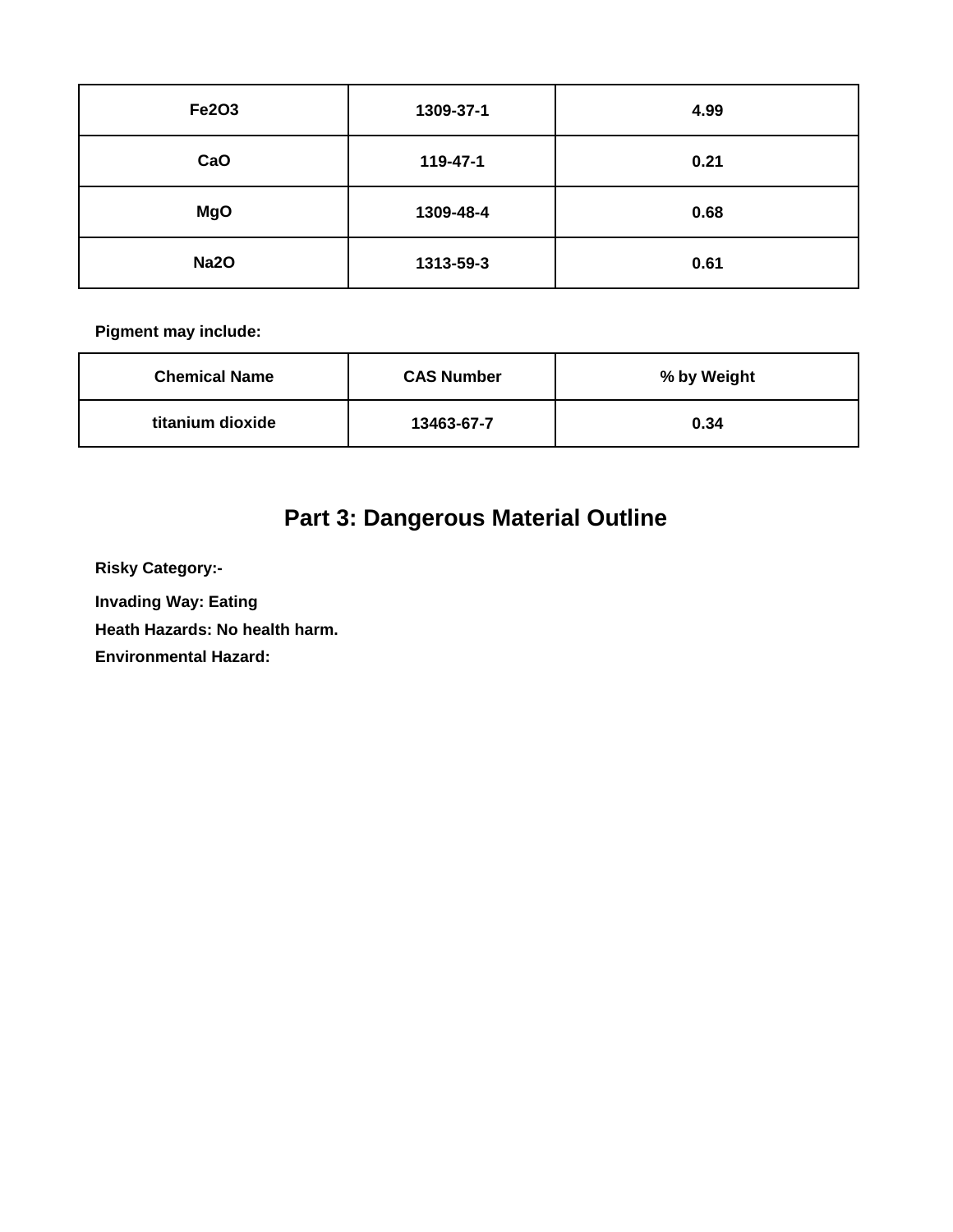| <b>Fe2O3</b> | 1309-37-1 | 4.99 |
|--------------|-----------|------|
| CaO          | 119-47-1  | 0.21 |
| <b>MgO</b>   | 1309-48-4 | 0.68 |
| <b>Na2O</b>  | 1313-59-3 | 0.61 |

| <b>Chemical Name</b> | <b>CAS Number</b> | % by Weight |
|----------------------|-------------------|-------------|
| titanium dioxide     | 13463-67-7        | 0.34        |

# **Part 3: Dangerous Material Outline**

**Risky Category:-**

**Invading Way: Eating** 

**Heath Hazards: No health harm.**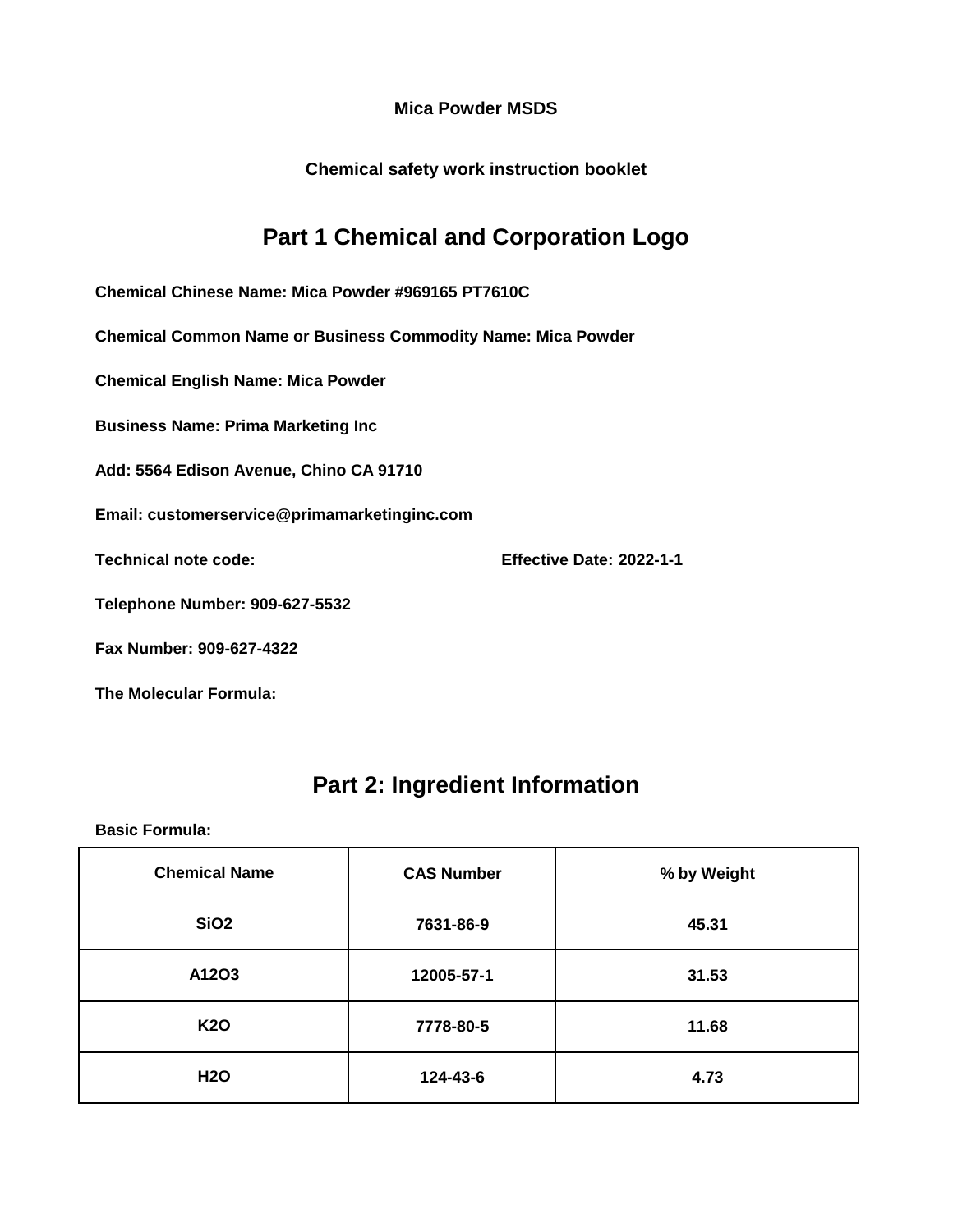**Chemical safety work instruction booklet**

## **Part 1 Chemical and Corporation Logo**

**Chemical Chinese Name: Mica Powder #969165 PT7610C**

**Chemical Common Name or Business Commodity Name: Mica Powder**

**Chemical English Name: Mica Powder**

**Business Name: Prima Marketing Inc**

**Add: 5564 Edison Avenue, Chino CA 91710**

**Email: customerservice@primamarketinginc.com**

**Technical note code: Effective Date: 2022-1-1**

**Telephone Number: 909-627-5532**

**Fax Number: 909-627-4322**

**The Molecular Formula:**

### **Part 2: Ingredient Information**

| <b>Chemical Name</b> | <b>CAS Number</b> | % by Weight |
|----------------------|-------------------|-------------|
| <b>SiO2</b>          | 7631-86-9         | 45.31       |
| A12O3                | 12005-57-1        | 31.53       |
| <b>K20</b>           | 7778-80-5         | 11.68       |
| <b>H2O</b>           | 124-43-6          | 4.73        |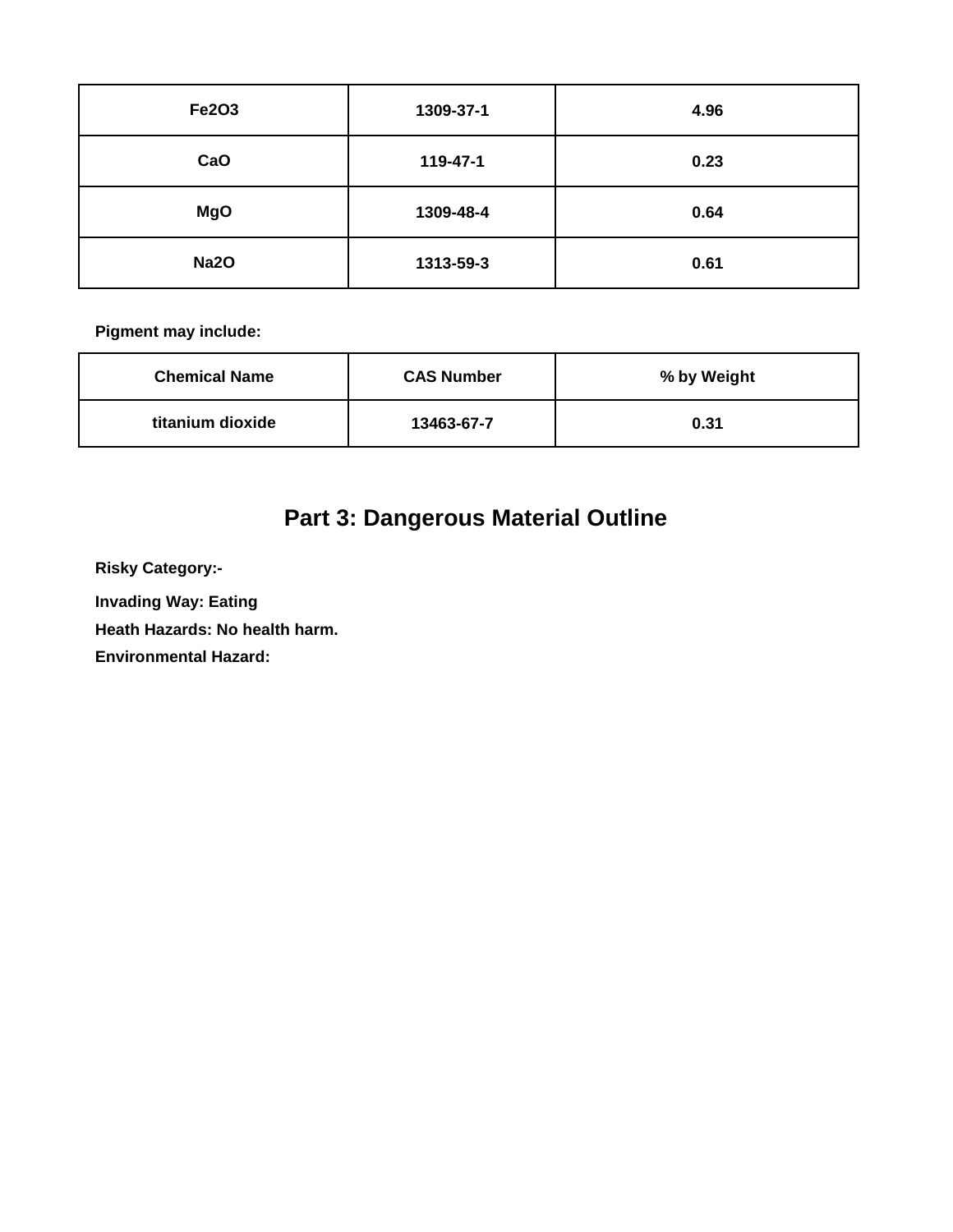| <b>Fe2O3</b> | 1309-37-1 | 4.96 |
|--------------|-----------|------|
| CaO          | 119-47-1  | 0.23 |
| <b>MgO</b>   | 1309-48-4 | 0.64 |
| <b>Na2O</b>  | 1313-59-3 | 0.61 |

| <b>Chemical Name</b> | <b>CAS Number</b> | % by Weight |
|----------------------|-------------------|-------------|
| titanium dioxide     | 13463-67-7        | 0.31        |

# **Part 3: Dangerous Material Outline**

**Risky Category:-**

**Invading Way: Eating** 

**Heath Hazards: No health harm.**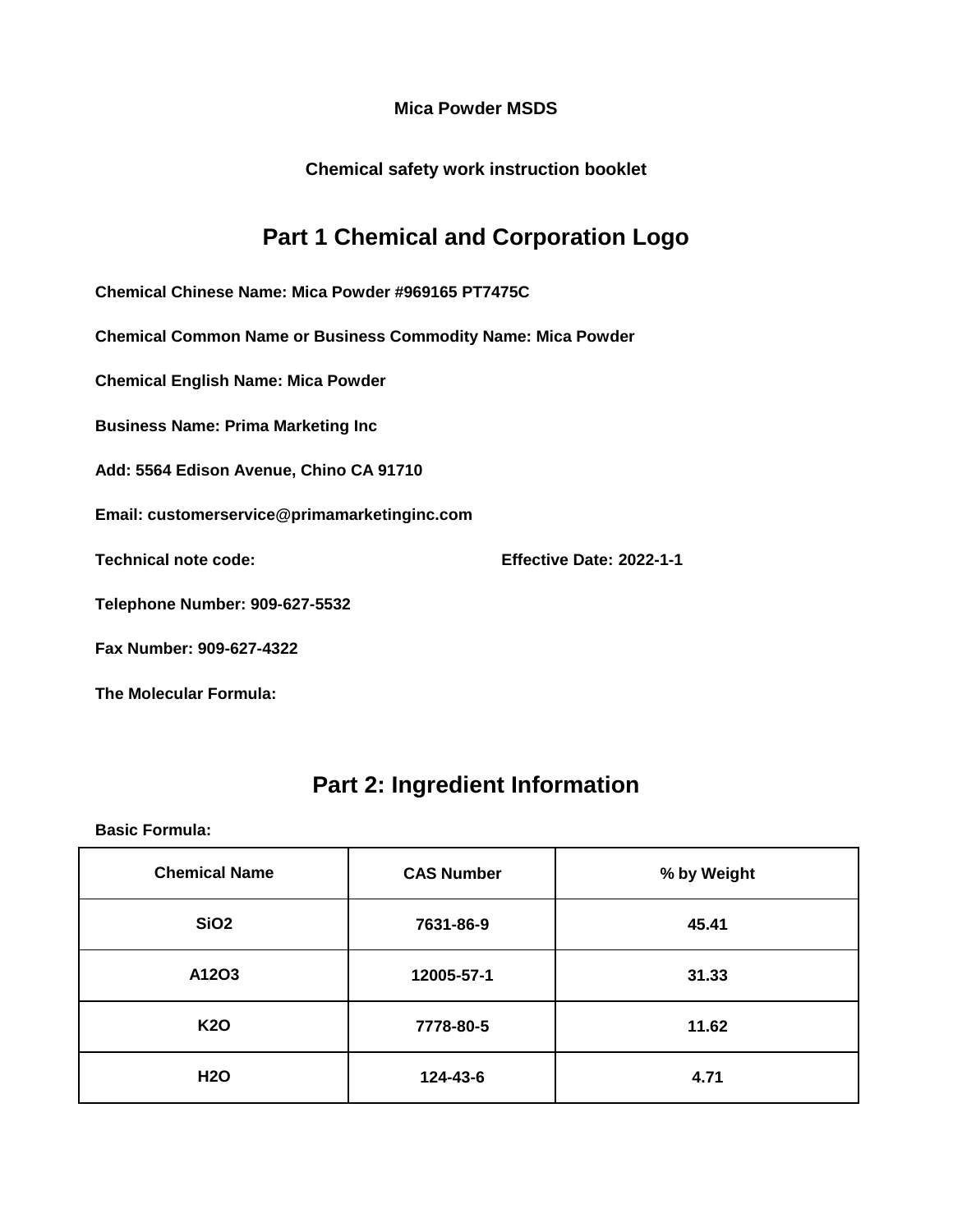**Chemical safety work instruction booklet**

## **Part 1 Chemical and Corporation Logo**

**Chemical Chinese Name: Mica Powder #969165 PT7475C**

**Chemical Common Name or Business Commodity Name: Mica Powder**

**Chemical English Name: Mica Powder**

**Business Name: Prima Marketing Inc**

**Add: 5564 Edison Avenue, Chino CA 91710**

**Email: customerservice@primamarketinginc.com**

**Technical note code: Effective Date: 2022-1-1**

**Telephone Number: 909-627-5532**

**Fax Number: 909-627-4322**

**The Molecular Formula:**

### **Part 2: Ingredient Information**

| <b>Chemical Name</b> | <b>CAS Number</b> | % by Weight |
|----------------------|-------------------|-------------|
| <b>SiO2</b>          | 7631-86-9         | 45.41       |
| A12O3                | 12005-57-1        | 31.33       |
| <b>K20</b>           | 7778-80-5         | 11.62       |
| <b>H2O</b>           | 124-43-6          | 4.71        |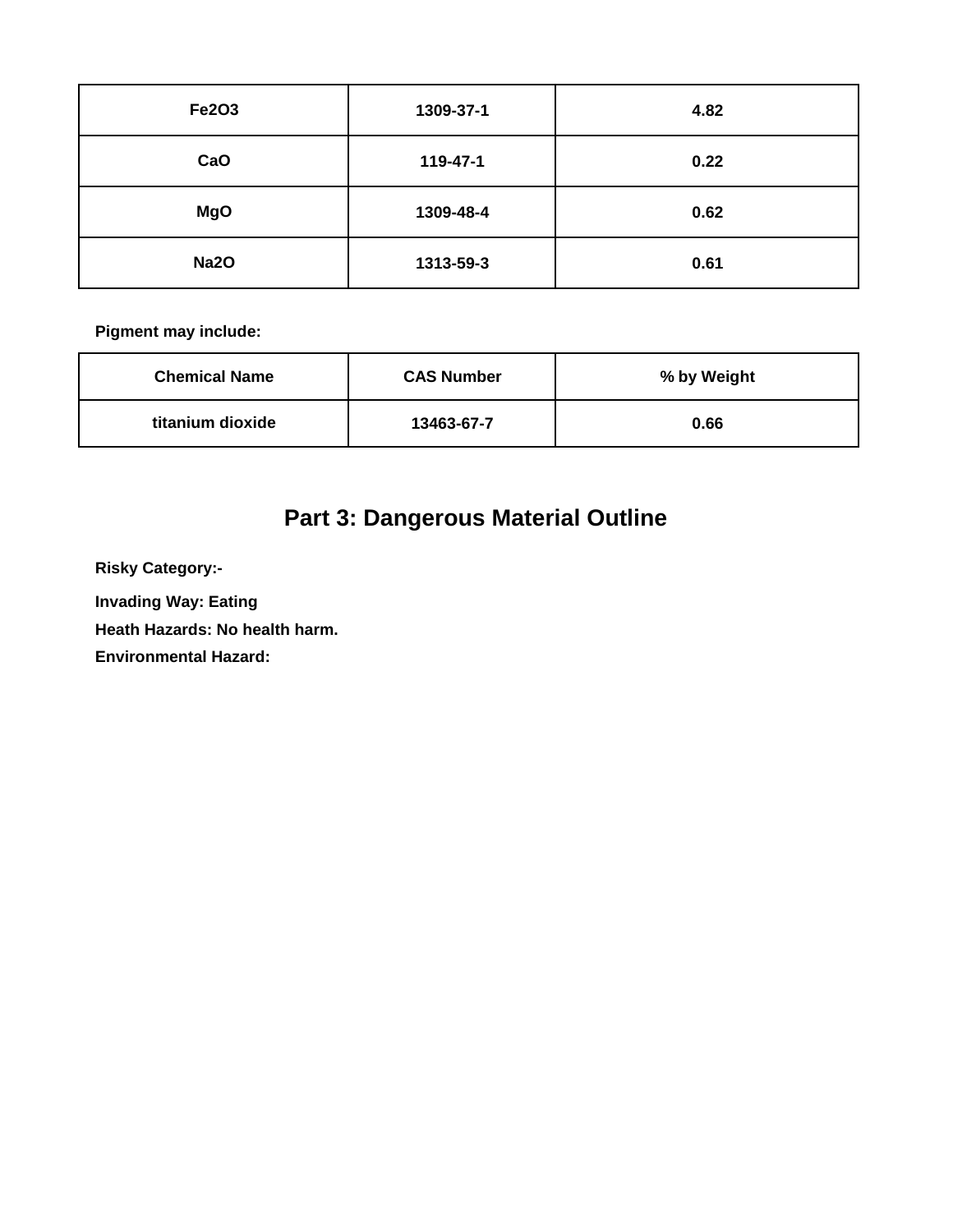| <b>Fe2O3</b> | 1309-37-1 | 4.82 |
|--------------|-----------|------|
| CaO          | 119-47-1  | 0.22 |
| <b>MgO</b>   | 1309-48-4 | 0.62 |
| <b>Na2O</b>  | 1313-59-3 | 0.61 |

| <b>Chemical Name</b> | <b>CAS Number</b> | % by Weight |
|----------------------|-------------------|-------------|
| titanium dioxide     | 13463-67-7        | 0.66        |

# **Part 3: Dangerous Material Outline**

**Risky Category:-**

**Invading Way: Eating** 

**Heath Hazards: No health harm.**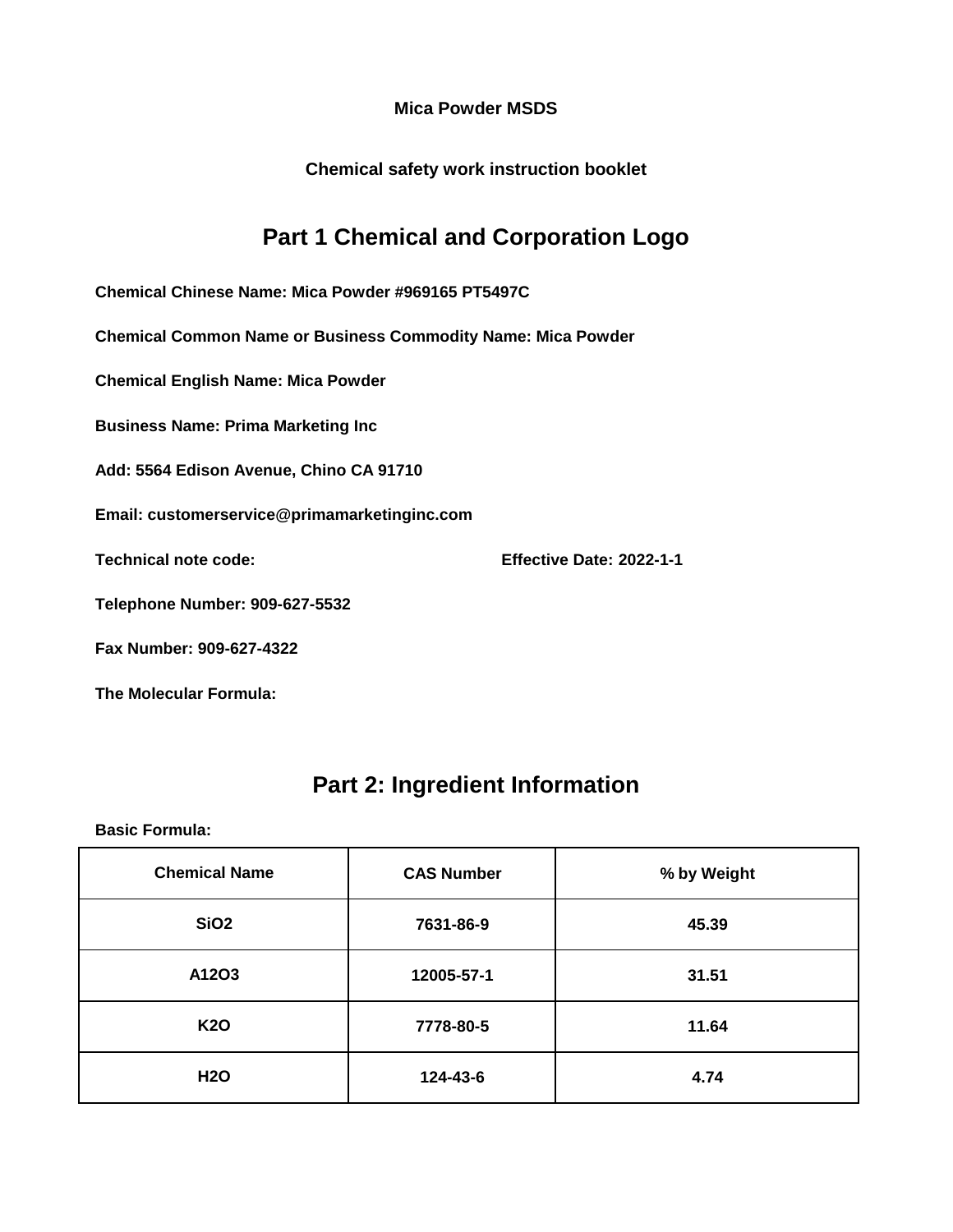**Chemical safety work instruction booklet**

### **Part 1 Chemical and Corporation Logo**

**Chemical Chinese Name: Mica Powder #969165 PT5497C**

**Chemical Common Name or Business Commodity Name: Mica Powder**

**Chemical English Name: Mica Powder**

**Business Name: Prima Marketing Inc**

**Add: 5564 Edison Avenue, Chino CA 91710**

**Email: customerservice@primamarketinginc.com**

**Technical note code: Effective Date: 2022-1-1**

**Telephone Number: 909-627-5532**

**Fax Number: 909-627-4322**

**The Molecular Formula:**

#### **Part 2: Ingredient Information**

| <b>Chemical Name</b> | <b>CAS Number</b> | % by Weight |
|----------------------|-------------------|-------------|
| SiO <sub>2</sub>     | 7631-86-9         | 45.39       |
| A12O3                | 12005-57-1        | 31.51       |
| <b>K20</b>           | 7778-80-5         | 11.64       |
| <b>H2O</b>           | 124-43-6          | 4.74        |